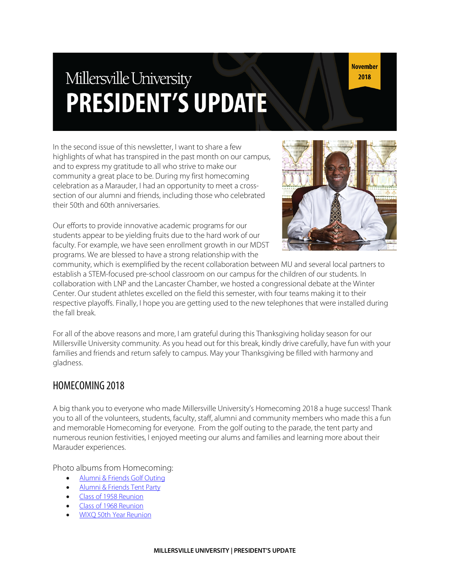# Millersville University **PRESIDENT'S UPDATE**

In the second issue of this newsletter, I want to share a few highlights of what has transpired in the past month on our campus, and to express my gratitude to all who strive to make our community a great place to be. During my first homecoming celebration as a Marauder, I had an opportunity to meet a crosssection of our alumni and friends, including those who celebrated their 50th and 60th anniversaries.

Our efforts to provide innovative academic programs for our students appear to be yielding fruits due to the hard work of our faculty. For example, we have seen enrollment growth in our MDST programs. We are blessed to have a strong relationship with the



community, which is exemplified by the recent collaboration between MU and several local partners to establish a STEM-focused pre-school classroom on our campus for the children of our students. In collaboration with LNP and the Lancaster Chamber, we hosted a congressional debate at the Winter Center. Our student athletes excelled on the field this semester, with four teams making it to their respective playoffs. Finally, I hope you are getting used to the new telephones that were installed during the fall break.

For all of the above reasons and more, I am grateful during this Thanksgiving holiday season for our Millersville University community. As you head out for this break, kindly drive carefully, have fun with your families and friends and return safely to campus. May your Thanksgiving be filled with harmony and gladness.

### HOMECOMING 2018

A big thank you to everyone who made Millersville University's Homecoming 2018 a huge success! Thank you to all of the volunteers, students, faculty, staff, alumni and community members who made this a fun and memorable Homecoming for everyone. From the golf outing to the parade, the tent party and numerous reunion festivities, I enjoyed meeting our alums and families and learning more about their Marauder experiences.

Photo albums from Homecoming:

- Alumni & Friends Golf Outing
- Alumni & Friends Tent Party
- Class of 1958 Reunion
- Class of 1968 Reunion
- WIXQ 50th Year Reunion

**November** 2018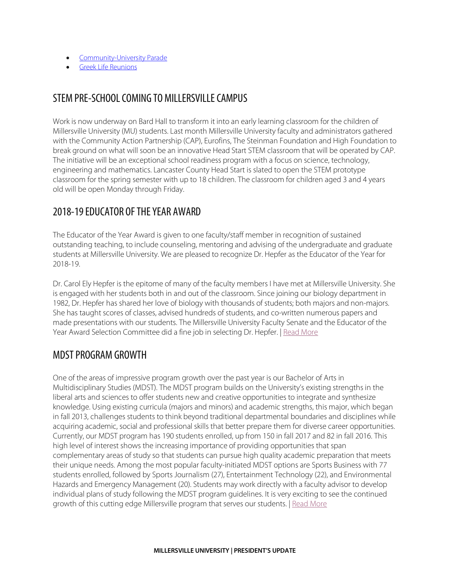- Community-University Parade
- Greek Life Reunions

### STEM PRE-SCHOOL COMING TO MILLERSVILLE CAMPUS

Work is now underway on Bard Hall to transform it into an early learning classroom for the children of Millersville University (MU) students. Last month Millersville University faculty and administrators gathered with the Community Action Partnership (CAP), Eurofins, The Steinman Foundation and High Foundation to break ground on what will soon be an innovative Head Start STEM classroom that will be operated by CAP. The initiative will be an exceptional school readiness program with a focus on science, technology, engineering and mathematics. Lancaster County Head Start is slated to open the STEM prototype classroom for the spring semester with up to 18 children. The classroom for children aged 3 and 4 years old will be open Monday through Friday.

# 2018-19 EDUCATOR OF THE YEAR AWARD

The Educator of the Year Award is given to one faculty/staff member in recognition of sustained outstanding teaching, to include counseling, mentoring and advising of the undergraduate and graduate students at Millersville University. We are pleased to recognize Dr. Hepfer as the Educator of the Year for 2018-19.

Dr. Carol Ely Hepfer is the epitome of many of the faculty members I have met at Millersville University. She is engaged with her students both in and out of the classroom. Since joining our biology department in 1982, Dr. Hepfer has shared her love of biology with thousands of students; both majors and non-majors. She has taught scores of classes, advised hundreds of students, and co-written numerous papers and made presentations with our students. The Millersville University Faculty Senate and the Educator of the Year Award Selection Committee did a fine job in selecting Dr. Hepfer. | Read More

### MDST PROGRAM GROWTH

One of the areas of impressive program growth over the past year is our Bachelor of Arts in Multidisciplinary Studies (MDST). The MDST program builds on the University's existing strengths in the liberal arts and sciences to offer students new and creative opportunities to integrate and synthesize knowledge. Using existing curricula (majors and minors) and academic strengths, this major, which began in fall 2013, challenges students to think beyond traditional departmental boundaries and disciplines while acquiring academic, social and professional skills that better prepare them for diverse career opportunities. Currently, our MDST program has 190 students enrolled, up from 150 in fall 2017 and 82 in fall 2016. This high level of interest shows the increasing importance of providing opportunities that span complementary areas of study so that students can pursue high quality academic preparation that meets their unique needs. Among the most popular faculty-initiated MDST options are Sports Business with 77 students enrolled, followed by Sports Journalism (27), Entertainment Technology (22), and Environmental Hazards and Emergency Management (20). Students may work directly with a faculty advisor to develop individual plans of study following the MDST program guidelines. It is very exciting to see the continued growth of this cutting edge Millersville program that serves our students. | Read More